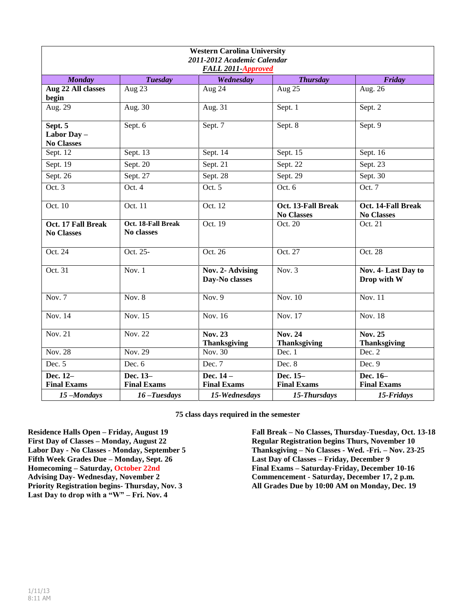| <b>Western Carolina University</b><br>2011-2012 Academic Calendar<br><b>FALL 2011-Approved</b> |                                         |                                       |                                         |                                         |  |  |
|------------------------------------------------------------------------------------------------|-----------------------------------------|---------------------------------------|-----------------------------------------|-----------------------------------------|--|--|
| <b>Monday</b>                                                                                  | <b>Tuesday</b>                          | Wednesday                             | <b>Thursday</b>                         | Friday                                  |  |  |
| Aug 22 All classes<br>begin                                                                    | Aug 23                                  | Aug 24                                | Aug 25                                  | Aug. 26                                 |  |  |
| Aug. 29                                                                                        | Aug. 30                                 | Aug. 31                               | Sept. 1                                 | Sept. 2                                 |  |  |
| Sept. 5<br>Labor Day -<br><b>No Classes</b>                                                    | Sept. 6                                 | Sept. 7                               | Sept. 8                                 | Sept. 9                                 |  |  |
| Sept. 12                                                                                       | Sept. 13                                | Sept. 14                              | Sept. 15                                | Sept. 16                                |  |  |
| Sept. $19$                                                                                     | Sept. 20                                | Sept. 21                              | Sept. 22                                | Sept. 23                                |  |  |
| Sept. 26                                                                                       | Sept. $27$                              | Sept. 28                              | Sept. 29                                | Sept. 30                                |  |  |
| Oct. 3                                                                                         | Oct.4                                   | Oct. 5                                | Oct. 6                                  | Oct. 7                                  |  |  |
| Oct. 10                                                                                        | Oct. 11                                 | Oct. 12                               | Oct. 13-Fall Break<br><b>No Classes</b> | Oct. 14-Fall Break<br><b>No Classes</b> |  |  |
| Oct. 17 Fall Break<br><b>No Classes</b>                                                        | Oct. 18-Fall Break<br><b>No classes</b> | Oct. 19                               | Oct. 20                                 | Oct. 21                                 |  |  |
| Oct. 24                                                                                        | Oct. 25-                                | Oct. 26                               | Oct. 27                                 | Oct. 28                                 |  |  |
| Oct. 31                                                                                        | Nov. $1$                                | Nov. 2- Advising<br>Day-No classes    | Nov. $3$                                | Nov. 4- Last Day to<br>Drop with W      |  |  |
| Nov. $7$                                                                                       | Nov. $8$                                | Nov. $9$                              | Nov. $10$                               | Nov. 11                                 |  |  |
| <b>Nov. 14</b>                                                                                 | Nov. 15                                 | Nov. 16                               | Nov. 17                                 | <b>Nov. 18</b>                          |  |  |
| Nov. 21                                                                                        | Nov. 22                                 | <b>Nov. 23</b><br><b>Thanksgiving</b> | <b>Nov. 24</b><br>Thanksgiving          | <b>Nov. 25</b><br><b>Thanksgiving</b>   |  |  |
| <b>Nov. 28</b>                                                                                 | Nov. 29                                 | Nov. 30                               | Dec. 1                                  | Dec. 2                                  |  |  |
| Dec. $5$                                                                                       | Dec. 6                                  | Dec. 7                                | Dec. 8                                  | Dec. 9                                  |  |  |
| Dec. 12-<br><b>Final Exams</b>                                                                 | Dec. 13-<br><b>Final Exams</b>          | Dec. 14 -<br><b>Final Exams</b>       | Dec. 15-<br><b>Final Exams</b>          | Dec. 16-<br><b>Final Exams</b>          |  |  |
| 15-Mondays                                                                                     | $16$ -Tuesdays                          | 15-Wednesdays                         | 15-Thursdays                            | 15-Fridays                              |  |  |

**75 class days required in the semester**

**Residence Halls Open – Friday, August 19 First Day of Classes – Monday, August 22 Labor Day - No Classes - Monday, September 5 Fifth Week Grades Due – Monday, Sept. 26 Homecoming – Saturday, October 22nd Advising Day- Wednesday, November 2 Priority Registration begins- Thursday, Nov. 3 Last Day to drop with a "W" – Fri. Nov. 4**

**Fall Break – No Classes, Thursday-Tuesday, Oct. 13-18 Regular Registration begins Thurs, November 10 Thanksgiving – No Classes - Wed. -Fri. – Nov. 23-25 Last Day of Classes – Friday, December 9 Final Exams – Saturday-Friday, December 10-16 Commencement - Saturday, December 17, 2 p.m. All Grades Due by 10:00 AM on Monday, Dec. 19**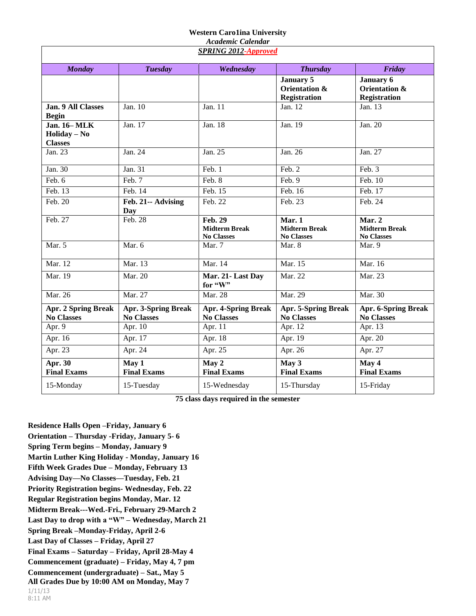## **Western Caro1ina University**

| <b>Academic Calendar</b>                               |                                                 |                                                             |                                                          |                                                     |  |  |
|--------------------------------------------------------|-------------------------------------------------|-------------------------------------------------------------|----------------------------------------------------------|-----------------------------------------------------|--|--|
| <b>SPRING 2012-Approved</b>                            |                                                 |                                                             |                                                          |                                                     |  |  |
| <b>Monday</b>                                          | <b>Tuesday</b>                                  | Wednesday                                                   | <b>Thursday</b>                                          | Friday                                              |  |  |
|                                                        |                                                 |                                                             | <b>January 5</b><br>Orientation &<br><b>Registration</b> | January 6<br>Orientation &<br><b>Registration</b>   |  |  |
| Jan. 9 All Classes<br><b>Begin</b>                     | Jan. 10                                         | Jan. 11                                                     | Jan. 12                                                  | Jan. 13                                             |  |  |
| <b>Jan. 16-MLK</b><br>$Holiday - No$<br><b>Classes</b> | Jan. 17                                         | Jan. $18$                                                   | Jan. 19                                                  | Jan. 20                                             |  |  |
| Jan. 23                                                | Jan. 24                                         | Jan. 25                                                     | Jan. 26                                                  | Jan. 27                                             |  |  |
| Jan. 30                                                | Jan. 31                                         | Feb. 1                                                      | Feb. 2                                                   | Feb. 3                                              |  |  |
| Feb. 6                                                 | Feb. 7                                          | Feb. 8                                                      | Feb. 9                                                   | Feb. 10                                             |  |  |
| Feb. 13                                                | Feb. 14                                         | Feb. 15                                                     | Feb. 16                                                  | Feb. 17                                             |  |  |
| Feb. 20                                                | Feb. 21-- Advising<br>Day                       | Feb. 22                                                     | Feb. 23                                                  | Feb. 24                                             |  |  |
| Feb. $27$                                              | Feb. 28                                         | <b>Feb. 29</b><br><b>Midterm Break</b><br><b>No Classes</b> | Mar. 1<br><b>Midterm Break</b><br><b>No Classes</b>      | Mar. 2<br><b>Midterm Break</b><br><b>No Classes</b> |  |  |
| Mar. 5                                                 | Mar. 6                                          | Mar. 7                                                      | Mar. 8                                                   | Mar. 9                                              |  |  |
| Mar. 12                                                | Mar. 13                                         | Mar. 14                                                     | Mar. 15                                                  | Mar. 16                                             |  |  |
| Mar. 19                                                | Mar. 20                                         | Mar. 21-Last Day<br>for "W"                                 | Mar. 22                                                  | Mar. 23                                             |  |  |
| Mar. 26                                                | Mar. 27                                         | Mar. 28                                                     | Mar. 29                                                  | Mar. 30                                             |  |  |
| <b>Apr. 2 Spring Break</b><br><b>No Classes</b>        | <b>Apr. 3-Spring Break</b><br><b>No Classes</b> | <b>Apr. 4-Spring Break</b><br><b>No Classes</b>             | <b>Apr. 5-Spring Break</b><br><b>No Classes</b>          | <b>Apr. 6-Spring Break</b><br><b>No Classes</b>     |  |  |
| Apr. 9                                                 | Apr. 10                                         | Apr. 11                                                     | Apr. 12                                                  | Apr. 13                                             |  |  |
| Apr. 16                                                | Apr. 17                                         | Apr. 18                                                     | Apr. 19                                                  | Apr. 20                                             |  |  |
| Apr. $23$                                              | Apr. 24                                         | Apr. 25                                                     | Apr. 26                                                  | Apr. 27                                             |  |  |
| Apr. $3\overline{0}$<br><b>Final Exams</b>             | May 1<br><b>Final Exams</b>                     | May 2<br><b>Final Exams</b>                                 | May 3<br><b>Final Exams</b>                              | May 4<br><b>Final Exams</b>                         |  |  |
| 15-Monday                                              | 15-Tuesday                                      | 15-Wednesday                                                | 15-Thursday                                              | 15-Friday                                           |  |  |

**75 class days required in the semester**

1/11/13 8:11 AM **Residence Halls Open –Friday, January 6 Orientation – Thursday -Friday, January 5- 6 Spring Term begins – Monday, January 9 Martin Luther King Holiday - Monday, January 16 Fifth Week Grades Due – Monday, February 13 Advising Day—No Classes—Tuesday, Feb. 21 Priority Registration begins- Wednesday, Feb. 22 Regular Registration begins Monday, Mar. 12 Midterm Break---Wed.-Fri., February 29-March 2 Last Day to drop with a "W" – Wednesday, March 21 Spring Break –Monday-Friday, April 2-6 Last Day of Classes – Friday, April 27 Final Exams – Saturday – Friday, April 28-May 4 Commencement (graduate) – Friday, May 4, 7 pm Commencement (undergraduate) – Sat., May 5 All Grades Due by 10:00 AM on Monday, May 7**